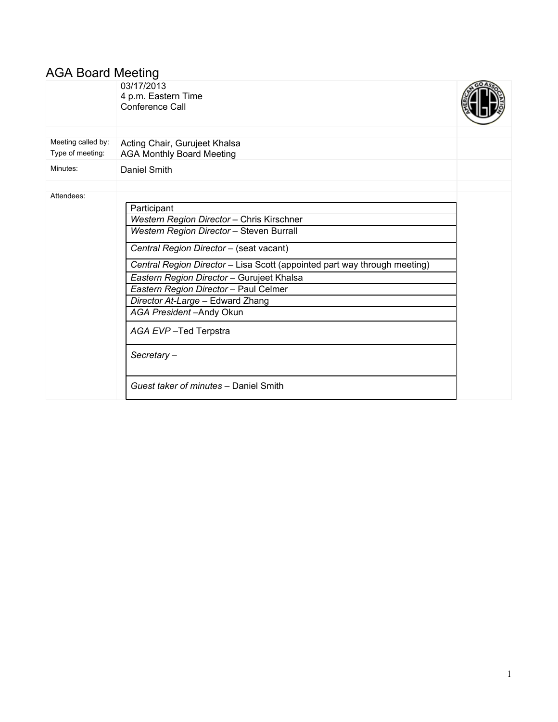# AGA Board Meeting

|                    | 03/17/2013<br>4 p.m. Eastern Time<br>Conference Call                                                                                                                                                                                                                                                                                                                                                                                                             |  |
|--------------------|------------------------------------------------------------------------------------------------------------------------------------------------------------------------------------------------------------------------------------------------------------------------------------------------------------------------------------------------------------------------------------------------------------------------------------------------------------------|--|
| Meeting called by: | Acting Chair, Gurujeet Khalsa                                                                                                                                                                                                                                                                                                                                                                                                                                    |  |
| Type of meeting:   | <b>AGA Monthly Board Meeting</b>                                                                                                                                                                                                                                                                                                                                                                                                                                 |  |
| Minutes:           | Daniel Smith                                                                                                                                                                                                                                                                                                                                                                                                                                                     |  |
| Attendees:         | Participant<br>Western Region Director - Chris Kirschner<br>Western Region Director - Steven Burrall<br>Central Region Director - (seat vacant)<br>Central Region Director - Lisa Scott (appointed part way through meeting)<br>Eastern Region Director - Gurujeet Khalsa<br>Eastern Region Director - Paul Celmer<br>Director At-Large - Edward Zhang<br>AGA President-Andy Okun<br>AGA EVP-Ted Terpstra<br>Secretary-<br>Guest taker of minutes - Daniel Smith |  |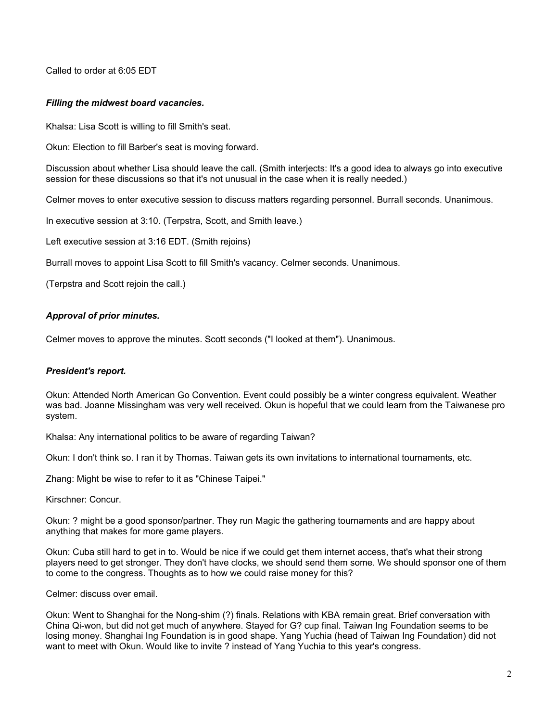Called to order at 6:05 EDT

# *Filling the midwest board vacancies.*

Khalsa: Lisa Scott is willing to fill Smith's seat.

Okun: Election to fill Barber's seat is moving forward.

Discussion about whether Lisa should leave the call. (Smith interjects: It's a good idea to always go into executive session for these discussions so that it's not unusual in the case when it is really needed.)

Celmer moves to enter executive session to discuss matters regarding personnel. Burrall seconds. Unanimous.

In executive session at 3:10. (Terpstra, Scott, and Smith leave.)

Left executive session at 3:16 EDT. (Smith rejoins)

Burrall moves to appoint Lisa Scott to fill Smith's vacancy. Celmer seconds. Unanimous.

(Terpstra and Scott rejoin the call.)

## *Approval of prior minutes.*

Celmer moves to approve the minutes. Scott seconds ("I looked at them"). Unanimous.

## *President's report.*

Okun: Attended North American Go Convention. Event could possibly be a winter congress equivalent. Weather was bad. Joanne Missingham was very well received. Okun is hopeful that we could learn from the Taiwanese pro system.

Khalsa: Any international politics to be aware of regarding Taiwan?

Okun: I don't think so. I ran it by Thomas. Taiwan gets its own invitations to international tournaments, etc.

Zhang: Might be wise to refer to it as "Chinese Taipei."

Kirschner: Concur.

Okun: ? might be a good sponsor/partner. They run Magic the gathering tournaments and are happy about anything that makes for more game players.

Okun: Cuba still hard to get in to. Would be nice if we could get them internet access, that's what their strong players need to get stronger. They don't have clocks, we should send them some. We should sponsor one of them to come to the congress. Thoughts as to how we could raise money for this?

Celmer: discuss over email.

Okun: Went to Shanghai for the Nong-shim (?) finals. Relations with KBA remain great. Brief conversation with China Qi-won, but did not get much of anywhere. Stayed for G? cup final. Taiwan Ing Foundation seems to be losing money. Shanghai Ing Foundation is in good shape. Yang Yuchia (head of Taiwan Ing Foundation) did not want to meet with Okun. Would like to invite ? instead of Yang Yuchia to this year's congress.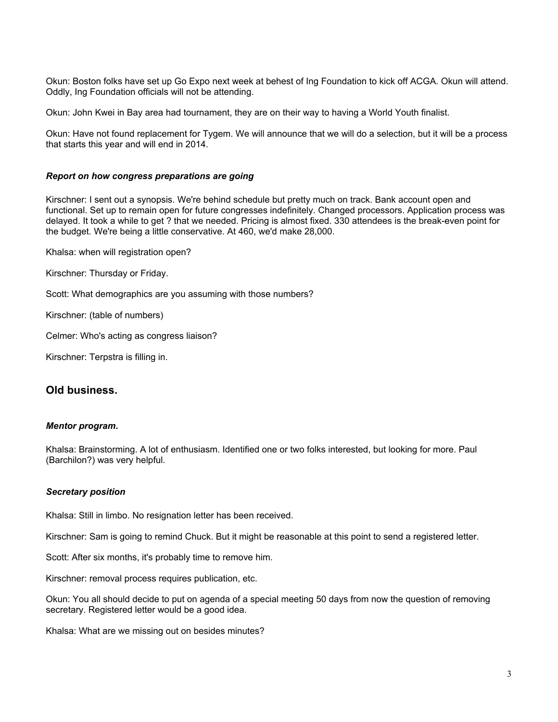Okun: Boston folks have set up Go Expo next week at behest of Ing Foundation to kick off ACGA. Okun will attend. Oddly, Ing Foundation officials will not be attending.

Okun: John Kwei in Bay area had tournament, they are on their way to having a World Youth finalist.

Okun: Have not found replacement for Tygem. We will announce that we will do a selection, but it will be a process that starts this year and will end in 2014.

### *Report on how congress preparations are going*

Kirschner: I sent out a synopsis. We're behind schedule but pretty much on track. Bank account open and functional. Set up to remain open for future congresses indefinitely. Changed processors. Application process was delayed. It took a while to get ? that we needed. Pricing is almost fixed. 330 attendees is the break-even point for the budget. We're being a little conservative. At 460, we'd make 28,000.

Khalsa: when will registration open?

Kirschner: Thursday or Friday.

Scott: What demographics are you assuming with those numbers?

Kirschner: (table of numbers)

Celmer: Who's acting as congress liaison?

Kirschner: Terpstra is filling in.

# **Old business.**

#### *Mentor program.*

Khalsa: Brainstorming. A lot of enthusiasm. Identified one or two folks interested, but looking for more. Paul (Barchilon?) was very helpful.

## *Secretary position*

Khalsa: Still in limbo. No resignation letter has been received.

Kirschner: Sam is going to remind Chuck. But it might be reasonable at this point to send a registered letter.

Scott: After six months, it's probably time to remove him.

Kirschner: removal process requires publication, etc.

Okun: You all should decide to put on agenda of a special meeting 50 days from now the question of removing secretary. Registered letter would be a good idea.

Khalsa: What are we missing out on besides minutes?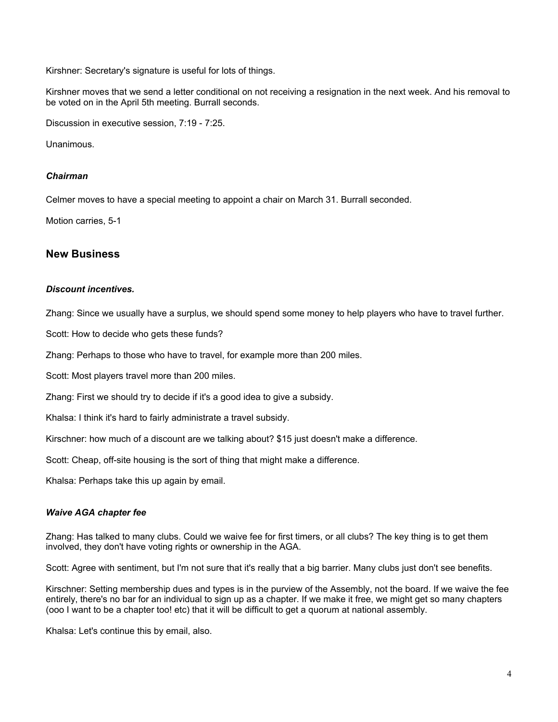Kirshner: Secretary's signature is useful for lots of things.

Kirshner moves that we send a letter conditional on not receiving a resignation in the next week. And his removal to be voted on in the April 5th meeting. Burrall seconds.

Discussion in executive session, 7:19 - 7:25.

Unanimous.

# *Chairman*

Celmer moves to have a special meeting to appoint a chair on March 31. Burrall seconded.

Motion carries, 5-1

# **New Business**

## *Discount incentives.*

Zhang: Since we usually have a surplus, we should spend some money to help players who have to travel further.

Scott: How to decide who gets these funds?

Zhang: Perhaps to those who have to travel, for example more than 200 miles.

Scott: Most players travel more than 200 miles.

Zhang: First we should try to decide if it's a good idea to give a subsidy.

Khalsa: I think it's hard to fairly administrate a travel subsidy.

Kirschner: how much of a discount are we talking about? \$15 just doesn't make a difference.

Scott: Cheap, off-site housing is the sort of thing that might make a difference.

Khalsa: Perhaps take this up again by email.

# *Waive AGA chapter fee*

Zhang: Has talked to many clubs. Could we waive fee for first timers, or all clubs? The key thing is to get them involved, they don't have voting rights or ownership in the AGA.

Scott: Agree with sentiment, but I'm not sure that it's really that a big barrier. Many clubs just don't see benefits.

Kirschner: Setting membership dues and types is in the purview of the Assembly, not the board. If we waive the fee entirely, there's no bar for an individual to sign up as a chapter. If we make it free, we might get so many chapters (ooo I want to be a chapter too! etc) that it will be difficult to get a quorum at national assembly.

Khalsa: Let's continue this by email, also.